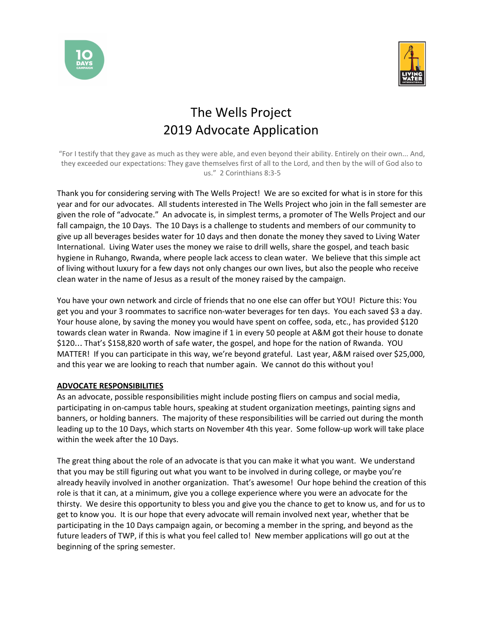



## The Wells Project 2019 Advocate Application

"For I testify that they gave as much as they were able, and even beyond their ability. Entirely on their own... And, they exceeded our expectations: They gave themselves first of all to the Lord, and then by the will of God also to us." 2 Corinthians 8:3-5

Thank you for considering serving with The Wells Project! We are so excited for what is in store for this year and for our advocates. All students interested in The Wells Project who join in the fall semester are given the role of "advocate." An advocate is, in simplest terms, a promoter of The Wells Project and our fall campaign, the 10 Days. The 10 Days is a challenge to students and members of our community to give up all beverages besides water for 10 days and then donate the money they saved to Living Water International. Living Water uses the money we raise to drill wells, share the gospel, and teach basic hygiene in Ruhango, Rwanda, where people lack access to clean water. We believe that this simple act of living without luxury for a few days not only changes our own lives, but also the people who receive clean water in the name of Jesus as a result of the money raised by the campaign.

You have your own network and circle of friends that no one else can offer but YOU! Picture this: You get you and your 3 roommates to sacrifice non-water beverages for ten days. You each saved \$3 a day. Your house alone, by saving the money you would have spent on coffee, soda, etc., has provided \$120 towards clean water in Rwanda. Now imagine if 1 in every 50 people at A&M got their house to donate \$120… That's \$158,820 worth of safe water, the gospel, and hope for the nation of Rwanda. YOU MATTER! If you can participate in this way, we're beyond grateful. Last year, A&M raised over \$25,000, and this year we are looking to reach that number again. We cannot do this without you!

## **ADVOCATE RESPONSIBILITIES**

As an advocate, possible responsibilities might include posting fliers on campus and social media, participating in on-campus table hours, speaking at student organization meetings, painting signs and banners, or holding banners. The majority of these responsibilities will be carried out during the month leading up to the 10 Days, which starts on November 4th this year. Some follow-up work will take place within the week after the 10 Days.

The great thing about the role of an advocate is that you can make it what you want. We understand that you may be still figuring out what you want to be involved in during college, or maybe you're already heavily involved in another organization. That's awesome! Our hope behind the creation of this role is that it can, at a minimum, give you a college experience where you were an advocate for the thirsty. We desire this opportunity to bless you and give you the chance to get to know us, and for us to get to know you. It is our hope that every advocate will remain involved next year, whether that be participating in the 10 Days campaign again, or becoming a member in the spring, and beyond as the future leaders of TWP, if this is what you feel called to! New member applications will go out at the beginning of the spring semester.